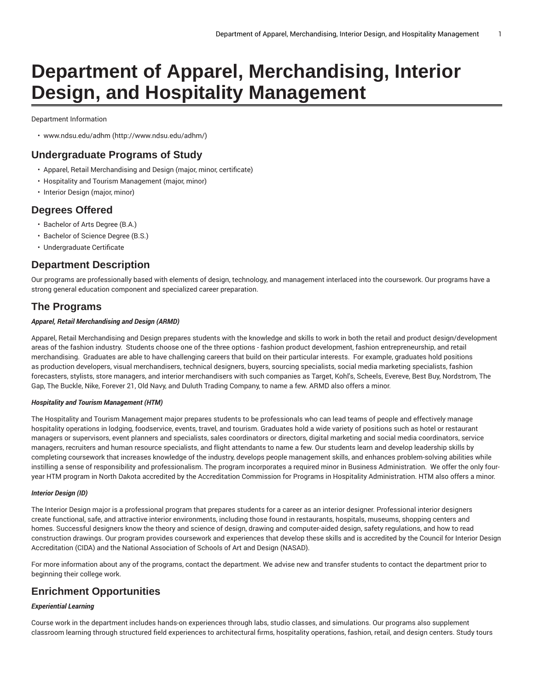# **Department of Apparel, Merchandising, Interior Design, and Hospitality Management**

Department Information

• [www.ndsu.edu/adhm \(http://www.ndsu.edu/adhm/\)](http://www.ndsu.edu/adhm/)

## **Undergraduate Programs of Study**

- Apparel, Retail Merchandising and Design (major, minor, certificate)
- Hospitality and Tourism Management (major, minor)
- Interior Design (major, minor)

## **Degrees Offered**

- Bachelor of Arts Degree (B.A.)
- Bachelor of Science Degree (B.S.)
- Undergraduate Certificate

# **Department Description**

Our programs are professionally based with elements of design, technology, and management interlaced into the coursework. Our programs have a strong general education component and specialized career preparation.

# **The Programs**

## *Apparel, Retail Merchandising and Design (ARMD)*

Apparel, Retail Merchandising and Design prepares students with the knowledge and skills to work in both the retail and product design/development areas of the fashion industry. Students choose one of the three options - fashion product development, fashion entrepreneurship, and retail merchandising. Graduates are able to have challenging careers that build on their particular interests. For example, graduates hold positions as production developers, visual merchandisers, technical designers, buyers, sourcing specialists, social media marketing specialists, fashion forecasters, stylists, store managers, and interior merchandisers with such companies as Target, Kohl's, Scheels, Evereve, Best Buy, Nordstrom, The Gap, The Buckle, Nike, Forever 21, Old Navy, and Duluth Trading Company, to name a few. ARMD also offers a minor.

#### *Hospitality and Tourism Management (HTM)*

The Hospitality and Tourism Management major prepares students to be professionals who can lead teams of people and effectively manage hospitality operations in lodging, foodservice, events, travel, and tourism. Graduates hold a wide variety of positions such as hotel or restaurant managers or supervisors, event planners and specialists, sales coordinators or directors, digital marketing and social media coordinators, service managers, recruiters and human resource specialists, and flight attendants to name a few. Our students learn and develop leadership skills by completing coursework that increases knowledge of the industry, develops people management skills, and enhances problem-solving abilities while instilling a sense of responsibility and professionalism. The program incorporates a required minor in Business Administration. We offer the only fouryear HTM program in North Dakota accredited by the Accreditation Commission for Programs in Hospitality Administration. HTM also offers a minor.

#### *Interior Design (ID)*

The Interior Design major is a professional program that prepares students for a career as an interior designer. Professional interior designers create functional, safe, and attractive interior environments, including those found in restaurants, hospitals, museums, shopping centers and homes. Successful designers know the theory and science of design, drawing and computer-aided design, safety regulations, and how to read construction drawings. Our program provides coursework and experiences that develop these skills and is accredited by the Council for Interior Design Accreditation (CIDA) and the National Association of Schools of Art and Design (NASAD).

For more information about any of the programs, contact the department. We advise new and transfer students to contact the department prior to beginning their college work.

# **Enrichment Opportunities**

## *Experiential Learning*

Course work in the department includes hands-on experiences through labs, studio classes, and simulations. Our programs also supplement classroom learning through structured field experiences to architectural firms, hospitality operations, fashion, retail, and design centers. Study tours